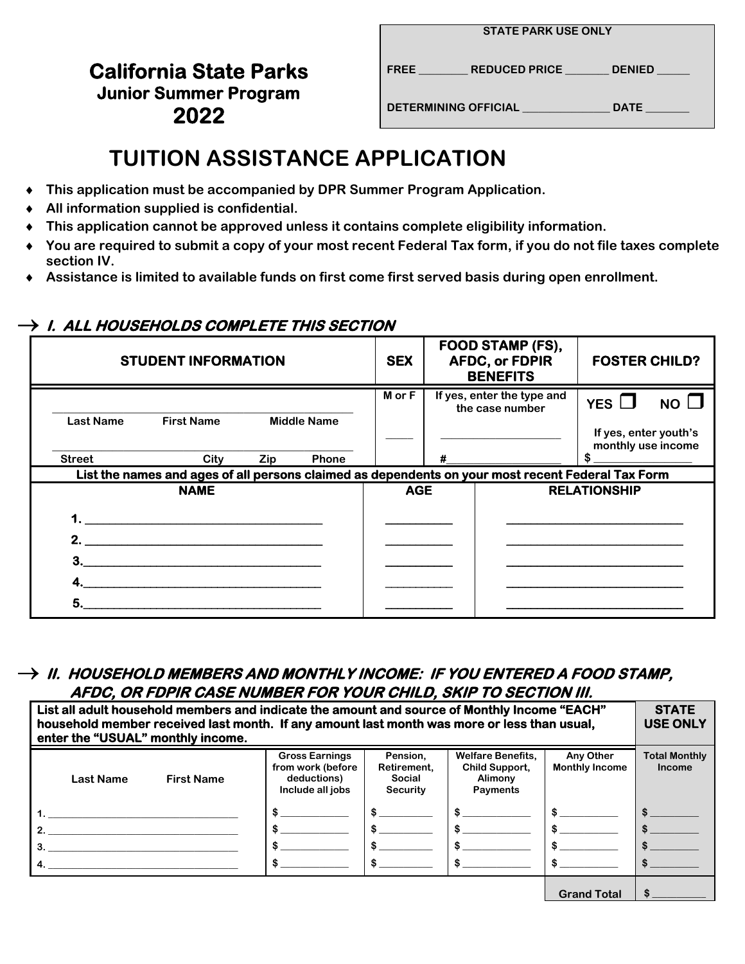## **California State Parks Junior Summer Program DETERMINING OFFICIAL \_\_\_\_\_\_\_\_\_\_\_\_\_\_\_\_ DATE \_\_\_\_\_\_\_\_ 2022**

|  | <b>STATE PARK USE ONLY</b> |  |  |  |
|--|----------------------------|--|--|--|
|--|----------------------------|--|--|--|

**FREE \_\_\_\_\_\_\_\_\_ REDUCED PRICE \_\_\_\_\_\_\_\_ DENIED \_\_\_\_\_\_** 

# **TUITION ASSISTANCE APPLICATION**

- ♦ **This application must be accompanied by DPR Summer Program Application.**
- ♦ **All information supplied is confidential.**
- ♦ **This application cannot be approved unless it contains complete eligibility information.**
- ♦ **You are required to submit a copy of your most recent Federal Tax form, if you do not file taxes complete section IV.**
- ♦ **Assistance is limited to available funds on first come first served basis during open enrollment.**

## $\rightarrow$  1. ALL HOUSEHOLDS COMPLETE THIS SECTION

| <b>STUDENT INFORMATION</b> |                                                                                                   |            | <b>SEX</b>         | FOOD STAMP (FS),<br><b>AFDC, or FDPIR</b><br><b>BENEFITS</b> |   | <b>FOSTER CHILD?</b>                          |                                                                              |
|----------------------------|---------------------------------------------------------------------------------------------------|------------|--------------------|--------------------------------------------------------------|---|-----------------------------------------------|------------------------------------------------------------------------------|
| <b>Last Name</b>           | <b>First Name</b>                                                                                 |            | <b>Middle Name</b> | <b>M</b> or F                                                |   | If yes, enter the type and<br>the case number | YES $\square$<br>NO $\square$<br>If yes, enter youth's<br>monthly use income |
| <b>Street</b>              | City                                                                                              | <b>Zip</b> | <b>Phone</b>       |                                                              | # |                                               |                                                                              |
|                            | List the names and ages of all persons claimed as dependents on your most recent Federal Tax Form |            |                    |                                                              |   |                                               |                                                                              |
|                            | <b>NAME</b>                                                                                       |            |                    | <b>AGE</b>                                                   |   |                                               | <b>RELATIONSHIP</b>                                                          |
|                            |                                                                                                   |            |                    |                                                              |   |                                               |                                                                              |
| 2 <sup>1</sup>             |                                                                                                   |            |                    |                                                              |   |                                               |                                                                              |
| З.                         |                                                                                                   |            |                    |                                                              |   |                                               |                                                                              |
|                            |                                                                                                   |            |                    |                                                              |   |                                               |                                                                              |
| 5.                         |                                                                                                   |            |                    |                                                              |   |                                               |                                                                              |

### $\rightarrow$  11. HOUSEHOLD MEMBERS AND MONTHLY INCOME: IF YOU ENTERED A FOOD STAMP. **AFDC, OR FDPIR CASE NUMBER FOR YOUR CHILD, SKIP TO SECTION III.**

| List all adult household members and indicate the amount and source of Monthly Income "EACH"<br>household member received last month. If any amount last month was more or less than usual,<br>enter the "USUAL" monthly income. |                  |                   |                                                                               |                                                      |                                                                   | <b>STATE</b><br><b>USE ONLY</b>    |                                       |
|----------------------------------------------------------------------------------------------------------------------------------------------------------------------------------------------------------------------------------|------------------|-------------------|-------------------------------------------------------------------------------|------------------------------------------------------|-------------------------------------------------------------------|------------------------------------|---------------------------------------|
|                                                                                                                                                                                                                                  | <b>Last Name</b> | <b>First Name</b> | <b>Gross Earnings</b><br>from work (before<br>deductions)<br>Include all jobs | Pension.<br>Retirement,<br>Social<br><b>Security</b> | <b>Welfare Benefits,</b><br>Child Support,<br>Alimony<br>Payments | Any Other<br><b>Monthly Income</b> | <b>Total Monthly</b><br><b>Income</b> |
|                                                                                                                                                                                                                                  |                  |                   | \$                                                                            |                                                      |                                                                   |                                    |                                       |
|                                                                                                                                                                                                                                  | 2.               |                   |                                                                               |                                                      |                                                                   |                                    |                                       |
| 3.                                                                                                                                                                                                                               |                  |                   |                                                                               |                                                      |                                                                   |                                    |                                       |
|                                                                                                                                                                                                                                  |                  |                   | \$                                                                            |                                                      |                                                                   |                                    |                                       |
|                                                                                                                                                                                                                                  |                  |                   |                                                                               |                                                      |                                                                   | <b>Grand Total</b>                 |                                       |